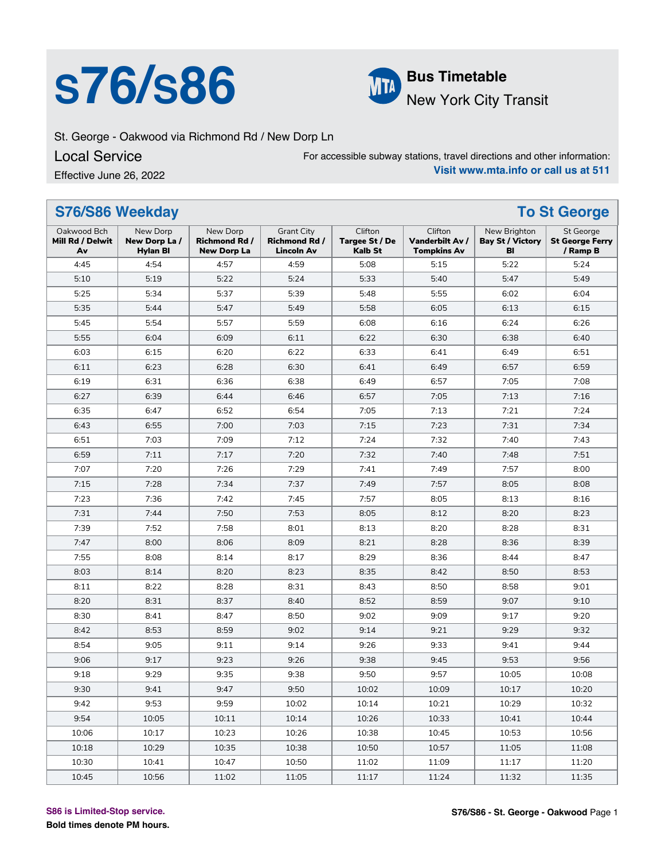## **S76/S86 Bus Timetable**



### New York City Transit

St. George - Oakwood via Richmond Rd / New Dorp Ln

Local Service

Effective June 26, 2022

For accessible subway stations, travel directions and other information: **Visit www.mta.info or call us at 511**

| S76/S86 Weekday                       | <b>To St George</b>                          |                                                        |                                                                |                                             |                                                  |                                               |                                                 |
|---------------------------------------|----------------------------------------------|--------------------------------------------------------|----------------------------------------------------------------|---------------------------------------------|--------------------------------------------------|-----------------------------------------------|-------------------------------------------------|
| Oakwood Bch<br>Mill Rd / Delwit<br>Av | New Dorp<br>New Dorp La /<br><b>Hylan BI</b> | New Dorp<br><b>Richmond Rd /</b><br><b>New Dorp La</b> | <b>Grant City</b><br><b>Richmond Rd /</b><br><b>Lincoln Av</b> | Clifton<br><b>Targee St / De</b><br>Kalb St | Clifton<br>Vanderbilt Av /<br><b>Tompkins Av</b> | New Brighton<br><b>Bay St / Victory</b><br>BI | St George<br><b>St George Ferry</b><br>/ Ramp B |
| 4:45                                  | 4:54                                         | 4:57                                                   | 4:59                                                           | 5:08                                        | 5:15                                             | 5:22                                          | 5:24                                            |
| 5:10                                  | 5:19                                         | 5:22                                                   | 5:24                                                           | 5:33                                        | 5:40                                             | 5:47                                          | 5:49                                            |
| 5:25                                  | 5:34                                         | 5:37                                                   | 5:39                                                           | 5:48                                        | 5:55                                             | 6:02                                          | 6:04                                            |
| 5:35                                  | 5:44                                         | 5:47                                                   | 5:49                                                           | 5:58                                        | 6:05                                             | 6:13                                          | 6:15                                            |
| 5:45                                  | 5:54                                         | 5:57                                                   | 5:59                                                           | 6:08                                        | 6:16                                             | 6:24                                          | 6:26                                            |
| 5:55                                  | 6:04                                         | 6:09                                                   | 6:11                                                           | 6:22                                        | 6:30                                             | 6:38                                          | 6:40                                            |
| 6:03                                  | 6:15                                         | 6:20                                                   | 6:22                                                           | 6:33                                        | 6:41                                             | 6:49                                          | 6:51                                            |
| 6:11                                  | 6:23                                         | 6:28                                                   | 6:30                                                           | 6:41                                        | 6:49                                             | 6:57                                          | 6:59                                            |
| 6:19                                  | 6:31                                         | 6:36                                                   | 6:38                                                           | 6:49                                        | 6:57                                             | 7:05                                          | 7:08                                            |
| 6:27                                  | 6:39                                         | 6:44                                                   | 6:46                                                           | 6:57                                        | 7:05                                             | 7:13                                          | 7:16                                            |
| 6:35                                  | 6:47                                         | 6:52                                                   | 6:54                                                           | 7:05                                        | 7:13                                             | 7:21                                          | 7:24                                            |
| 6:43                                  | 6:55                                         | 7:00                                                   | 7:03                                                           | 7:15                                        | 7:23                                             | 7:31                                          | 7:34                                            |
| 6:51                                  | 7:03                                         | 7:09                                                   | 7:12                                                           | 7:24                                        | 7:32                                             | 7:40                                          | 7:43                                            |
| 6:59                                  | 7:11                                         | 7:17                                                   | 7:20                                                           | 7:32                                        | 7:40                                             | 7:48                                          | 7:51                                            |
| 7:07                                  | 7:20                                         | 7:26                                                   | 7:29                                                           | 7:41                                        | 7:49                                             | 7:57                                          | 8:00                                            |
| 7:15                                  | 7:28                                         | 7:34                                                   | 7:37                                                           | 7:49                                        | 7:57                                             | 8:05                                          | 8:08                                            |
| 7:23                                  | 7:36                                         | 7:42                                                   | 7:45                                                           | 7:57                                        | 8:05                                             | 8:13                                          | 8:16                                            |
| 7:31                                  | 7:44                                         | 7:50                                                   | 7:53                                                           | 8:05                                        | 8:12                                             | 8:20                                          | 8:23                                            |
| 7:39                                  | 7:52                                         | 7:58                                                   | 8:01                                                           | 8:13                                        | 8:20                                             | 8:28                                          | 8:31                                            |
| 7:47                                  | 8:00                                         | 8:06                                                   | 8:09                                                           | 8:21                                        | 8:28                                             | 8:36                                          | 8:39                                            |
| 7:55                                  | 8:08                                         | 8:14                                                   | 8:17                                                           | 8:29                                        | 8:36                                             | 8:44                                          | 8:47                                            |
| 8:03                                  | 8:14                                         | 8:20                                                   | 8:23                                                           | 8:35                                        | 8:42                                             | 8:50                                          | 8:53                                            |
| 8:11                                  | 8:22                                         | 8:28                                                   | 8:31                                                           | 8:43                                        | 8:50                                             | 8:58                                          | 9:01                                            |
| 8:20                                  | 8:31                                         | 8:37                                                   | 8:40                                                           | 8:52                                        | 8:59                                             | 9:07                                          | 9:10                                            |
| 8:30                                  | 8:41                                         | 8:47                                                   | 8:50                                                           | 9:02                                        | 9:09                                             | 9:17                                          | 9:20                                            |
| 8:42                                  | 8:53                                         | 8:59                                                   | 9:02                                                           | 9:14                                        | 9:21                                             | 9:29                                          | 9:32                                            |
| 8:54                                  | 9:05                                         | 9:11                                                   | 9:14                                                           | 9:26                                        | 9:33                                             | 9:41                                          | 9:44                                            |
| 9:06                                  | 9:17                                         | 9:23                                                   | 9:26                                                           | 9:38                                        | 9:45                                             | 9:53                                          | 9:56                                            |
| 9:18                                  | 9:29                                         | 9:35                                                   | 9:38                                                           | 9:50                                        | 9:57                                             | 10:05                                         | 10:08                                           |
| 9:30                                  | 9:41                                         | 9:47                                                   | 9:50                                                           | 10:02                                       | 10:09                                            | 10:17                                         | 10:20                                           |
| 9:42                                  | 9:53                                         | 9:59                                                   | 10:02                                                          | 10:14                                       | 10:21                                            | 10:29                                         | 10:32                                           |
| 9:54                                  | 10:05                                        | 10:11                                                  | 10:14                                                          | 10:26                                       | 10:33                                            | 10:41                                         | 10:44                                           |
| 10:06                                 | 10:17                                        | 10:23                                                  | 10:26                                                          | 10:38                                       | 10:45                                            | 10:53                                         | 10:56                                           |
| 10:18                                 | 10:29                                        | 10:35                                                  | 10:38                                                          | 10:50                                       | 10:57                                            | 11:05                                         | 11:08                                           |
| 10:30                                 | 10:41                                        | 10:47                                                  | 10:50                                                          | 11:02                                       | 11:09                                            | 11:17                                         | 11:20                                           |
| 10:45                                 | 10:56                                        | 11:02                                                  | 11:05                                                          | 11:17                                       | 11:24                                            | 11:32                                         | 11:35                                           |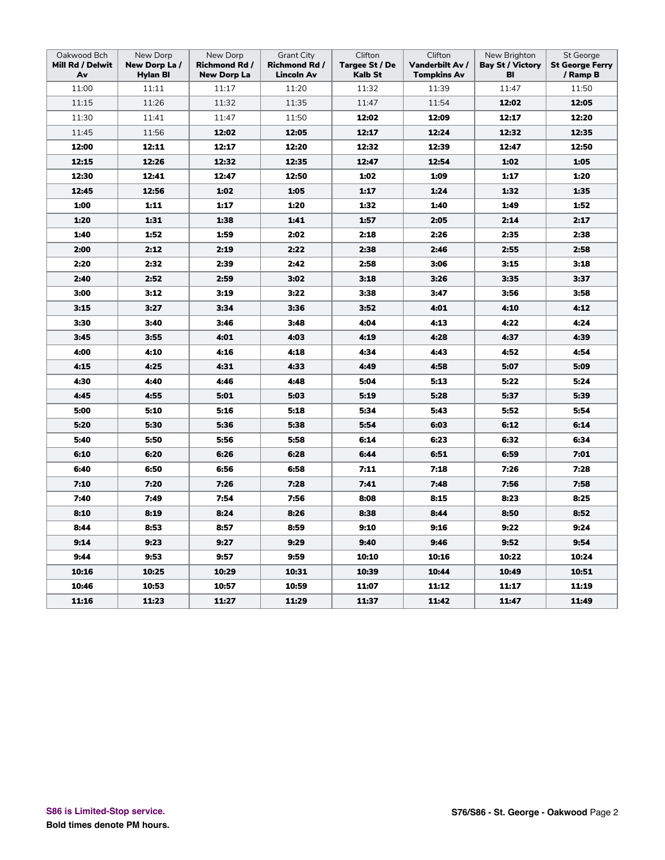| Oakwood Bch<br>Mill Rd / Delwit<br>Av | New Dorp<br>New Dorp La/<br><b>Hylan BI</b> | New Dorp<br>Richmond Rd /<br><b>New Dorp La</b> | <b>Grant City</b><br><b>Richmond Rd /</b><br><b>Lincoln Av</b> | Clifton<br>Targee St / De<br>Kalb St | Clifton<br>Vanderbilt Av /<br><b>Tompkins Av</b> | New Brighton<br><b>Bay St / Victory</b><br>BI | St George<br><b>St George Ferry</b><br>/ Ramp B |
|---------------------------------------|---------------------------------------------|-------------------------------------------------|----------------------------------------------------------------|--------------------------------------|--------------------------------------------------|-----------------------------------------------|-------------------------------------------------|
| 11:00                                 | 11:11                                       | 11:17                                           | 11:20                                                          | 11:32                                | 11:39                                            | 11:47                                         | 11:50                                           |
| 11:15                                 | 11:26                                       | 11:32                                           | 11:35                                                          | 11:47                                | 11:54                                            | 12:02                                         | 12:05                                           |
| 11:30                                 | 11:41                                       | 11:47                                           | 11:50                                                          | 12:02                                | 12:09                                            | 12:17                                         | 12:20                                           |
| 11:45                                 | 11:56                                       | 12:02                                           | 12:05                                                          | 12:17                                | 12:24                                            | 12:32                                         | 12:35                                           |
| 12:00                                 | 12:11                                       | 12:17                                           | 12:20                                                          | 12:32                                | 12:39                                            | 12:47                                         | 12:50                                           |
| 12:15                                 | 12:26                                       | 12:32                                           | 12:35                                                          | 12:47                                | 12:54                                            | 1:02                                          | 1:05                                            |
| 12:30                                 | 12:41                                       | 12:47                                           | 12:50                                                          | 1:02                                 | 1:09                                             | 1:17                                          | 1:20                                            |
| 12:45                                 | 12:56                                       | 1:02                                            | 1:05                                                           | 1:17                                 | 1:24                                             | 1:32                                          | 1:35                                            |
| 1:00                                  | 1:11                                        | 1:17                                            | 1:20                                                           | 1:32                                 | 1:40                                             | 1:49                                          | 1:52                                            |
| 1:20                                  | 1:31                                        | 1:38                                            | 1:41                                                           | 1:57                                 | 2:05                                             | 2:14                                          | 2:17                                            |
| 1:40                                  | 1:52                                        | 1:59                                            | 2:02                                                           | 2:18                                 | 2:26                                             | 2:35                                          | 2:38                                            |
| 2:00                                  | 2:12                                        | 2:19                                            | 2:22                                                           | 2:38                                 | 2:46                                             | 2:55                                          | 2:58                                            |
| 2:20                                  | 2:32                                        | 2:39                                            | 2:42                                                           | 2:58                                 | 3:06                                             | 3:15                                          | 3:18                                            |
| 2:40                                  | 2:52                                        | 2:59                                            | 3:02                                                           | 3:18                                 | 3:26                                             | 3:35                                          | 3:37                                            |
| 3:00                                  | 3:12                                        | 3:19                                            | 3:22                                                           | 3:38                                 | 3:47                                             | 3:56                                          | 3:58                                            |
| 3:15                                  | 3:27                                        | 3:34                                            | 3:36                                                           | 3:52                                 | 4:01                                             | 4:10                                          | 4:12                                            |
| 3:30                                  | 3:40                                        | 3:46                                            | 3:48                                                           | 4:04                                 | 4:13                                             | 4:22                                          | 4:24                                            |
| 3:45                                  | 3:55                                        | 4:01                                            | 4:03                                                           | 4:19                                 | 4:28                                             | 4:37                                          | 4:39                                            |
| 4:00                                  | 4:10                                        | 4:16                                            | 4:18                                                           | 4:34                                 | 4:43                                             | 4:52                                          | 4:54                                            |
| 4:15                                  | 4:25                                        | 4:31                                            | 4:33                                                           | 4:49                                 | 4:58                                             | 5:07                                          | 5:09                                            |
| 4:30                                  | 4:40                                        | 4:46                                            | 4:48                                                           | 5:04                                 | 5:13                                             | 5:22                                          | 5:24                                            |
| 4:45                                  | 4:55                                        | 5:01                                            | 5:03                                                           | 5:19                                 | 5:28                                             | 5:37                                          | 5:39                                            |
| 5:00                                  | 5:10                                        | 5:16                                            | 5:18                                                           | 5:34                                 | 5:43                                             | 5:52                                          | 5:54                                            |
| 5:20                                  | 5:30                                        | 5:36                                            | 5:38                                                           | 5:54                                 | 6:03                                             | 6:12                                          | 6:14                                            |
| 5:40                                  | 5:50                                        | 5:56                                            | 5:58                                                           | 6:14                                 | 6:23                                             | 6:32                                          | 6:34                                            |
| 6:10                                  | 6:20                                        | 6:26                                            | 6:28                                                           | 6:44                                 | 6:51                                             | 6:59                                          | 7:01                                            |
| 6:40                                  | 6:50                                        | 6:56                                            | 6:58                                                           | 7:11                                 | 7:18                                             | 7:26                                          | 7:28                                            |
| 7:10                                  | 7:20                                        | 7:26                                            | 7:28                                                           | 7:41                                 | 7:48                                             | 7:56                                          | 7:58                                            |
| 7:40                                  | 7:49                                        | 7:54                                            | 7:56                                                           | 8:08                                 | 8:15                                             | 8:23                                          | 8:25                                            |
| 8:10                                  | 8:19                                        | 8:24                                            | 8:26                                                           | 8:38                                 | 8:44                                             | 8:50                                          | 8:52                                            |
| 8:44                                  | 8:53                                        | 8:57                                            | 8:59                                                           | 9:10                                 | 9:16                                             | 9:22                                          | 9:24                                            |
| 9:14                                  | 9:23                                        | 9:27                                            | 9:29                                                           | 9:40                                 | 9:46                                             | 9:52                                          | 9:54                                            |
| 9:44                                  | 9:53                                        | 9:57                                            | 9:59                                                           | 10:10                                | 10:16                                            | 10:22                                         | 10:24                                           |
| 10:16                                 | 10:25                                       | 10:29                                           | 10:31                                                          | 10:39                                | 10:44                                            | 10:49                                         | 10:51                                           |
| 10:46                                 | 10:53                                       | 10:57                                           | 10:59                                                          | 11:07                                | 11:12                                            | 11:17                                         | 11:19                                           |
| 11:16                                 | 11:23                                       | 11:27                                           | 11:29                                                          | 11:37                                | 11:42                                            | 11:47                                         | 11:49                                           |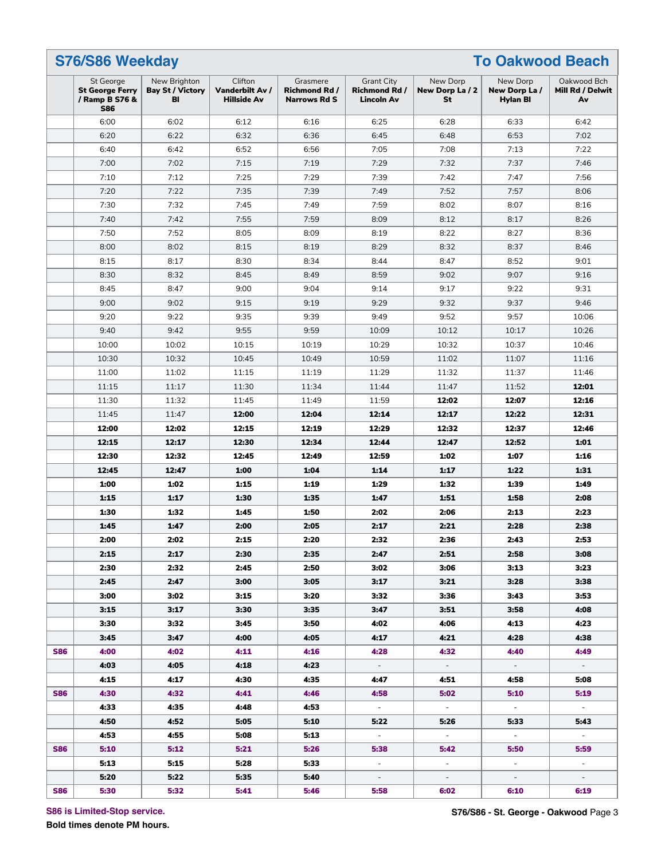|                                                                     | S76/S86 Weekday                               |                                                  |                                                         |                                                                |                                   |                                             |                                       |
|---------------------------------------------------------------------|-----------------------------------------------|--------------------------------------------------|---------------------------------------------------------|----------------------------------------------------------------|-----------------------------------|---------------------------------------------|---------------------------------------|
| St George<br><b>St George Ferry</b><br>/ Ramp B S76 &<br><b>S86</b> | New Brighton<br><b>Bay St / Victory</b><br>BI | Clifton<br>Vanderbilt Av /<br><b>Hillside Av</b> | Grasmere<br><b>Richmond Rd /</b><br><b>Narrows Rd S</b> | <b>Grant City</b><br><b>Richmond Rd /</b><br><b>Lincoln Av</b> | New Dorp<br>New Dorp La / 2<br>St | New Dorp<br>New Dorp La/<br><b>Hylan BI</b> | Oakwood Bch<br>Mill Rd / Delwit<br>Av |
| 6:00                                                                | 6:02                                          | 6:12                                             | 6:16                                                    | 6:25                                                           | 6:28                              | 6:33                                        | 6:42                                  |
| 6:20                                                                | 6:22                                          | 6:32                                             | 6:36                                                    | 6:45                                                           | 6:48                              | 6:53                                        | 7:02                                  |
| 6:40                                                                | 6:42                                          | 6:52                                             | 6:56                                                    | 7:05                                                           | 7:08                              | 7:13                                        | 7:22                                  |
| 7:00                                                                | 7:02                                          | 7:15                                             | 7:19                                                    | 7:29                                                           | 7:32                              | 7:37                                        | 7:46                                  |
| 7:10                                                                | 7:12                                          | 7:25                                             | 7:29                                                    | 7:39                                                           | 7:42                              | 7:47                                        | 7:56                                  |
| 7:20                                                                | 7:22                                          | 7:35                                             | 7:39                                                    | 7:49                                                           | 7:52                              | 7:57                                        | 8:06                                  |
| 7:30                                                                | 7:32                                          | 7:45                                             | 7:49                                                    | 7:59                                                           | 8:02                              | 8:07                                        | 8:16                                  |
| 7:40                                                                | 7:42                                          | 7:55                                             | 7:59                                                    | 8:09                                                           | 8:12                              | 8:17                                        | 8:26                                  |
| 7:50                                                                | 7:52                                          | 8:05                                             | 8:09                                                    | 8:19                                                           | 8:22                              | 8:27                                        | 8:36                                  |
| 8:00                                                                | 8:02                                          | 8:15                                             | 8:19                                                    | 8:29                                                           | 8:32                              | 8:37                                        | 8:46                                  |
| 8:15                                                                | 8:17                                          | 8:30                                             | 8:34                                                    | 8:44                                                           | 8:47                              | 8:52                                        | 9:01                                  |
| 8:30                                                                | 8:32                                          | 8:45                                             | 8:49                                                    | 8:59                                                           | 9:02                              | 9:07                                        | 9:16                                  |
| 8:45                                                                | 8:47                                          | 9:00                                             | 9:04                                                    | 9:14                                                           | 9:17                              | 9:22                                        | 9:31                                  |
| 9:00                                                                | 9:02                                          | 9:15                                             | 9:19                                                    | 9:29                                                           | 9:32                              | 9:37                                        | 9:46                                  |
| 9:20                                                                | 9:22                                          | 9:35                                             | 9:39                                                    | 9:49                                                           | 9:52                              | 9:57                                        | 10:06                                 |
| 9:40                                                                | 9:42                                          | 9:55                                             | 9:59                                                    | 10:09                                                          | 10:12                             | 10:17                                       | 10:26                                 |
| 10:00                                                               | 10:02                                         | 10:15                                            | 10:19                                                   | 10:29                                                          | 10:32                             | 10:37                                       | 10:46                                 |
| 10:30                                                               | 10:32                                         | 10:45                                            | 10:49                                                   | 10:59                                                          | 11:02                             | 11:07                                       | 11:16                                 |
| 11:00                                                               | 11:02                                         | 11:15                                            | 11:19                                                   | 11:29                                                          | 11:32                             | 11:37                                       | 11:46                                 |
| 11:15                                                               | 11:17                                         | 11:30                                            | 11:34                                                   | 11:44                                                          | 11:47                             | 11:52                                       | 12:01                                 |
| 11:30                                                               | 11:32                                         | 11:45                                            | 11:49                                                   | 11:59                                                          | 12:02                             | 12:07                                       | 12:16                                 |
| 11:45                                                               | 11:47                                         | 12:00                                            | 12:04                                                   | 12:14                                                          | 12:17                             | 12:22                                       | 12:31                                 |
|                                                                     |                                               |                                                  |                                                         |                                                                |                                   |                                             |                                       |
| 12:00                                                               | 12:02                                         | 12:15                                            | 12:19                                                   | 12:29                                                          | 12:32                             | 12:37                                       | 12:46                                 |
| 12:15                                                               | 12:17                                         | 12:30                                            | 12:34                                                   | 12:44                                                          | 12:47                             | 12:52                                       | 1:01                                  |
| 12:30                                                               | 12:32                                         | 12:45                                            | 12:49                                                   | 12:59                                                          | 1:02                              | 1:07                                        | 1:16                                  |
| 12:45                                                               | 12:47                                         | 1:00                                             | 1:04                                                    | 1:14                                                           | 1:17                              | 1:22                                        | 1:31                                  |
| 1:00                                                                | 1:02                                          | 1:15                                             | 1:19                                                    | 1:29                                                           | 1:32                              | 1:39                                        | 1:49                                  |
| 1:15                                                                | 1:17                                          | 1:30                                             | 1:35                                                    | 1:47                                                           | 1:51                              | 1:58                                        | 2:08                                  |
| 1:30                                                                | 1:32                                          | 1:45                                             | 1:50                                                    | 2:02                                                           | 2:06                              | 2:13                                        | 2:23                                  |
| 1:45                                                                | 1:47                                          | 2:00                                             | 2:05                                                    | 2:17                                                           | 2:21                              | 2:28                                        | 2:38                                  |
| 2:00                                                                | 2:02                                          | 2:15                                             | 2:20                                                    | 2:32                                                           | 2:36                              | 2:43                                        | 2:53                                  |
| 2:15                                                                | 2:17                                          | 2:30                                             | 2:35                                                    | 2:47                                                           | 2:51                              | 2:58                                        | 3:08                                  |
| 2:30                                                                | 2:32                                          | 2:45                                             | 2:50                                                    | 3:02                                                           | 3:06                              | 3:13                                        | 3:23                                  |
| 2:45                                                                | 2:47                                          | 3:00                                             | 3:05                                                    | 3:17                                                           | 3:21                              | 3:28                                        | 3:38                                  |
| 3:00                                                                | 3:02                                          | 3:15                                             | 3:20                                                    | 3:32                                                           | 3:36                              | 3:43                                        | 3:53                                  |
| 3:15                                                                | 3:17                                          | 3:30                                             | 3:35                                                    | 3:47                                                           | 3:51                              | 3:58                                        | 4:08                                  |
| 3:30                                                                | 3:32                                          | 3:45                                             | 3:50                                                    | 4:02                                                           | 4:06                              | 4:13                                        | 4:23                                  |
| 3:45                                                                | 3:47                                          | 4:00                                             | 4:05                                                    | 4:17                                                           | 4:21                              | 4:28                                        | 4:38                                  |
| 4:00                                                                | 4:02                                          | 4:11                                             | 4:16                                                    | 4:28                                                           | 4:32                              | 4:40                                        | 4:49                                  |
| 4:03                                                                | 4:05                                          | 4:18                                             | 4:23                                                    | $\sim$                                                         | $\sim$                            | $\sim$                                      | $\sim$                                |
| 4:15                                                                | 4:17                                          | 4:30                                             | 4:35                                                    | 4:47                                                           | 4:51                              | 4:58                                        | 5:08                                  |
| 4:30                                                                | 4:32                                          | 4:41                                             | 4:46                                                    | 4:58                                                           | 5:02                              | 5:10                                        | 5:19                                  |
| 4:33                                                                | 4:35                                          | 4:48                                             | 4:53                                                    | $\sim$                                                         | $\sim$                            | $\sim$                                      | $\sim$                                |
| 4:50                                                                | 4:52                                          | 5:05                                             | 5:10                                                    | 5:22                                                           | 5:26                              | 5:33                                        | 5:43                                  |
| 4:53                                                                | 4:55                                          | 5:08                                             | 5:13                                                    | $\sim$                                                         | $\sim$                            | $\sim$                                      | $\sim$                                |
| 5:10                                                                | 5:12                                          | 5:21                                             | 5:26                                                    | 5:38                                                           | 5:42                              | 5:50                                        | 5:59                                  |
|                                                                     |                                               |                                                  |                                                         |                                                                |                                   |                                             |                                       |
| 5:13                                                                | 5:15                                          | 5:28                                             | 5:33                                                    | $\sim$                                                         | $\sim$                            | $\sim$                                      | $\sim$                                |
| 5:20                                                                | 5:22                                          | 5:35                                             | 5:40                                                    | $\sim$                                                         | $\sim$                            | $\sim$                                      | $\sim$                                |

**S86 is Limited-Stop service.**

**Bold times denote PM hours.**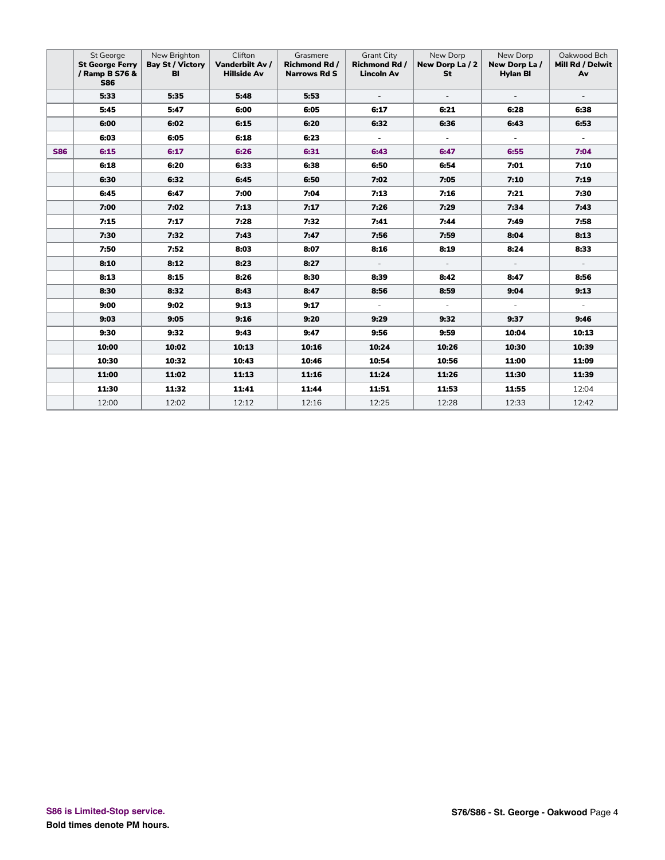|            | St George<br><b>St George Ferry</b><br>/ Ramp B S76 &<br><b>S86</b> | New Brighton<br><b>Bay St / Victory</b><br>BI | Clifton<br>Vanderbilt Av /<br><b>Hillside Av</b> | Grasmere<br><b>Richmond Rd /</b><br><b>Narrows Rd S</b> | <b>Grant City</b><br><b>Richmond Rd /</b><br><b>Lincoln Av</b> | New Dorp<br>New Dorp La / 2<br>St | New Dorp<br>New Dorp La/<br><b>Hylan BI</b> | Oakwood Bch<br>Mill Rd / Delwit<br>Av |
|------------|---------------------------------------------------------------------|-----------------------------------------------|--------------------------------------------------|---------------------------------------------------------|----------------------------------------------------------------|-----------------------------------|---------------------------------------------|---------------------------------------|
|            | 5:33                                                                | 5:35                                          | 5:48                                             | 5:53                                                    | $\blacksquare$                                                 | $\sim$                            | $\overline{\phantom{a}}$                    | $\blacksquare$                        |
|            | 5:45                                                                | 5:47                                          | 6:00                                             | 6:05                                                    | 6:17                                                           | 6:21                              | 6:28                                        | 6:38                                  |
|            | 6:00                                                                | 6:02                                          | 6:15                                             | 6:20                                                    | 6:32                                                           | 6:36                              | 6:43                                        | 6:53                                  |
|            | 6:03                                                                | 6:05                                          | 6:18                                             | 6:23                                                    | $\Box$                                                         | $\equiv$                          | $\omega$                                    | $\overline{\phantom{a}}$              |
| <b>S86</b> | 6:15                                                                | 6:17                                          | 6:26                                             | 6:31                                                    | 6:43                                                           | 6:47                              | 6:55                                        | 7:04                                  |
|            | 6:18                                                                | 6:20                                          | 6:33                                             | 6:38                                                    | 6:50                                                           | 6:54                              | 7:01                                        | 7:10                                  |
|            | 6:30                                                                | 6:32                                          | 6:45                                             | 6:50                                                    | 7:02                                                           | 7:05                              | 7:10                                        | 7:19                                  |
|            | 6:45                                                                | 6:47                                          | 7:00                                             | 7:04                                                    | 7:13                                                           | 7:16                              | 7:21                                        | 7:30                                  |
|            | 7:00                                                                | 7:02                                          | 7:13                                             | 7:17                                                    | 7:26                                                           | 7:29                              | 7:34                                        | 7:43                                  |
|            | 7:15                                                                | 7:17                                          | 7:28                                             | 7:32                                                    | 7:41                                                           | 7:44                              | 7:49                                        | 7:58                                  |
|            | 7:30                                                                | 7:32                                          | 7:43                                             | 7:47                                                    | 7:56                                                           | 7:59                              | 8:04                                        | 8:13                                  |
|            | 7:50                                                                | 7:52                                          | 8:03                                             | 8:07                                                    | 8:16                                                           | 8:19                              | 8:24                                        | 8:33                                  |
|            | 8:10                                                                | 8:12                                          | 8:23                                             | 8:27                                                    | $\overline{\phantom{a}}$                                       | $\sim$                            | $\overline{\phantom{a}}$                    | $\overline{\phantom{a}}$              |
|            | 8:13                                                                | 8:15                                          | 8:26                                             | 8:30                                                    | 8:39                                                           | 8:42                              | 8:47                                        | 8:56                                  |
|            | 8:30                                                                | 8:32                                          | 8:43                                             | 8:47                                                    | 8:56                                                           | 8:59                              | 9:04                                        | 9:13                                  |
|            | 9:00                                                                | 9:02                                          | 9:13                                             | 9:17                                                    | $\overline{\phantom{a}}$                                       | $\sim$                            | $\sim$                                      | $\overline{\phantom{a}}$              |
|            | 9:03                                                                | 9:05                                          | 9:16                                             | 9:20                                                    | 9:29                                                           | 9:32                              | 9:37                                        | 9:46                                  |
|            | 9:30                                                                | 9:32                                          | 9:43                                             | 9:47                                                    | 9:56                                                           | 9:59                              | 10:04                                       | 10:13                                 |
|            | 10:00                                                               | 10:02                                         | 10:13                                            | 10:16                                                   | 10:24                                                          | 10:26                             | 10:30                                       | 10:39                                 |
|            | 10:30                                                               | 10:32                                         | 10:43                                            | 10:46                                                   | 10:54                                                          | 10:56                             | 11:00                                       | 11:09                                 |
|            | 11:00                                                               | 11:02                                         | 11:13                                            | 11:16                                                   | 11:24                                                          | 11:26                             | 11:30                                       | 11:39                                 |
|            | 11:30                                                               | 11:32                                         | 11:41                                            | 11:44                                                   | 11:51                                                          | 11:53                             | 11:55                                       | 12:04                                 |
|            | 12:00                                                               | 12:02                                         | 12:12                                            | 12:16                                                   | 12:25                                                          | 12:28                             | 12:33                                       | 12:42                                 |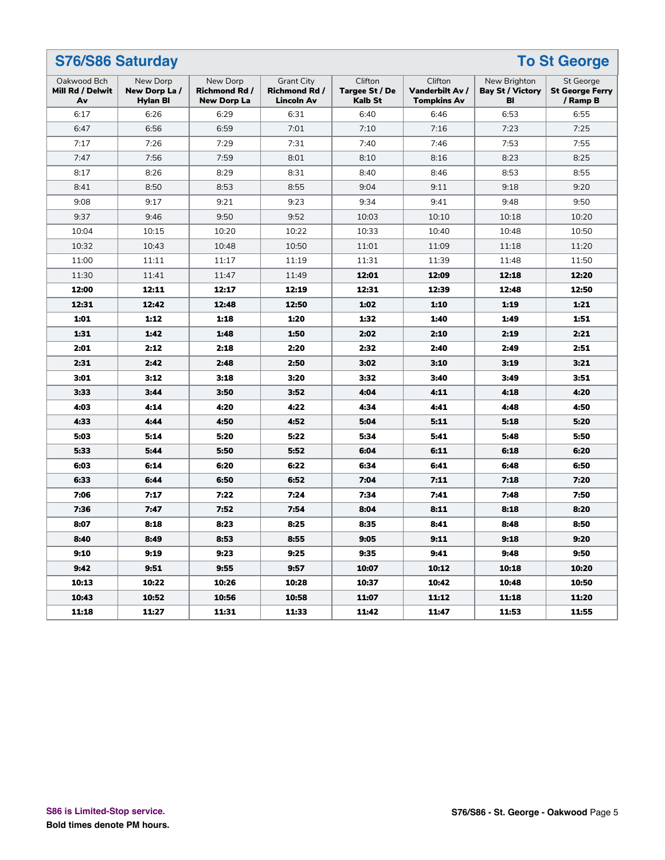| S76/S86 Saturday<br><b>To St George</b> |                                             |                                                 |                                                                |                                      |                                                  |                                               |                                                        |
|-----------------------------------------|---------------------------------------------|-------------------------------------------------|----------------------------------------------------------------|--------------------------------------|--------------------------------------------------|-----------------------------------------------|--------------------------------------------------------|
| Oakwood Bch<br>Mill Rd / Delwit<br>Av   | New Dorp<br>New Dorp La/<br><b>Hylan BI</b> | New Dorp<br>Richmond Rd /<br><b>New Dorp La</b> | <b>Grant City</b><br><b>Richmond Rd /</b><br><b>Lincoln Av</b> | Clifton<br>Targee St / De<br>Kalb St | Clifton<br>Vanderbilt Av /<br><b>Tompkins Av</b> | New Brighton<br><b>Bay St / Victory</b><br>BI | <b>St George</b><br><b>St George Ferry</b><br>/ Ramp B |
| 6:17                                    | 6:26                                        | 6:29                                            | 6:31                                                           | 6:40                                 | 6:46                                             | 6:53                                          | 6:55                                                   |
| 6:47                                    | 6:56                                        | 6:59                                            | 7:01                                                           | 7:10                                 | 7:16                                             | 7:23                                          | 7:25                                                   |
| 7:17                                    | 7:26                                        | 7:29                                            | 7:31                                                           | 7:40                                 | 7:46                                             | 7:53                                          | 7:55                                                   |
| 7:47                                    | 7:56                                        | 7:59                                            | 8:01                                                           | 8:10                                 | 8:16                                             | 8:23                                          | 8:25                                                   |
| 8:17                                    | 8:26                                        | 8:29                                            | 8:31                                                           | 8:40                                 | 8:46                                             | 8:53                                          | 8:55                                                   |
| 8:41                                    | 8:50                                        | 8:53                                            | 8:55                                                           | 9:04                                 | 9:11                                             | 9:18                                          | 9:20                                                   |
| 9:08                                    | 9:17                                        | 9:21                                            | 9:23                                                           | 9:34                                 | 9:41                                             | 9:48                                          | 9:50                                                   |
| 9:37                                    | 9:46                                        | 9:50                                            | 9:52                                                           | 10:03                                | 10:10                                            | 10:18                                         | 10:20                                                  |
| 10:04                                   | 10:15                                       | 10:20                                           | 10:22                                                          | 10:33                                | 10:40                                            | 10:48                                         | 10:50                                                  |
| 10:32                                   | 10:43                                       | 10:48                                           | 10:50                                                          | 11:01                                | 11:09                                            | 11:18                                         | 11:20                                                  |
| 11:00                                   | 11:11                                       | 11:17                                           | 11:19                                                          | 11:31                                | 11:39                                            | 11:48                                         | 11:50                                                  |
| 11:30                                   | 11:41                                       | 11:47                                           | 11:49                                                          | 12:01                                | 12:09                                            | 12:18                                         | 12:20                                                  |
| 12:00                                   | 12:11                                       | 12:17                                           | 12:19                                                          | 12:31                                | 12:39                                            | 12:48                                         | 12:50                                                  |
| 12:31                                   | 12:42                                       | 12:48                                           | 12:50                                                          | 1:02                                 | 1:10                                             | 1:19                                          | 1:21                                                   |
| 1:01                                    | 1:12                                        | 1:18                                            | 1:20                                                           | 1:32                                 | 1:40                                             | 1:49                                          | 1:51                                                   |
| 1:31                                    | 1:42                                        | 1:48                                            | 1:50                                                           | 2:02                                 | 2:10                                             | 2:19                                          | 2:21                                                   |
| 2:01                                    | 2:12                                        | 2:18                                            | 2:20                                                           | 2:32                                 | 2:40                                             | 2:49                                          | 2:51                                                   |
| 2:31                                    | 2:42                                        | 2:48                                            | 2:50                                                           | 3:02                                 | 3:10                                             | 3:19                                          | 3:21                                                   |
| 3:01                                    | 3:12                                        | 3:18                                            | 3:20                                                           | 3:32                                 | 3:40                                             | 3:49                                          | 3:51                                                   |
| 3:33                                    | 3:44                                        | 3:50                                            | 3:52                                                           | 4:04                                 | 4:11                                             | 4:18                                          | 4:20                                                   |
| 4:03                                    | 4:14                                        | 4:20                                            | 4:22                                                           | 4:34                                 | 4:41                                             | 4:48                                          | 4:50                                                   |
| 4:33                                    | 4:44                                        | 4:50                                            | 4:52                                                           | 5:04                                 | 5:11                                             | 5:18                                          | 5:20                                                   |
| 5:03                                    | 5:14                                        | 5:20                                            | 5:22                                                           | 5:34                                 | 5:41                                             | 5:48                                          | 5:50                                                   |
| 5:33                                    | 5:44                                        | 5:50                                            | 5:52                                                           | 6:04                                 | 6:11                                             | 6:18                                          | 6:20                                                   |
| 6:03                                    | 6:14                                        | 6:20                                            | 6:22                                                           | 6:34                                 | 6:41                                             | 6:48                                          | 6:50                                                   |
| 6:33                                    | 6:44                                        | 6:50                                            | 6:52                                                           | 7:04                                 | 7:11                                             | 7:18                                          | 7:20                                                   |
| 7:06                                    | 7:17                                        | 7:22                                            | 7:24                                                           | 7:34                                 | 7:41                                             | 7:48                                          | 7:50                                                   |
| 7:36                                    | 7:47                                        | 7:52                                            | 7:54                                                           | 8:04                                 | 8:11                                             | 8:18                                          | 8:20                                                   |
| 8:07                                    | 8:18                                        | 8:23                                            | 8:25                                                           | 8:35                                 | 8:41                                             | 8:48                                          | 8:50                                                   |
| 8:40                                    | 8:49                                        | 8:53                                            | 8:55                                                           | 9:05                                 | 9:11                                             | 9:18                                          | 9:20                                                   |
| 9:10                                    | 9:19                                        | 9:23                                            | 9:25                                                           | 9:35                                 | 9:41                                             | 9:48                                          | 9:50                                                   |
| 9:42                                    | 9:51                                        | 9:55                                            | 9:57                                                           | 10:07                                | 10:12                                            | 10:18                                         | 10:20                                                  |
| 10:13                                   | 10:22                                       | 10:26                                           | 10:28                                                          | 10:37                                | 10:42                                            | 10:48                                         | 10:50                                                  |
| 10:43                                   | 10:52                                       | 10:56                                           | 10:58                                                          | 11:07                                | 11:12                                            | 11:18                                         | 11:20                                                  |
| 11:18                                   | 11:27                                       | 11:31                                           | 11:33                                                          | 11:42                                | 11:47                                            | 11:53                                         | 11:55                                                  |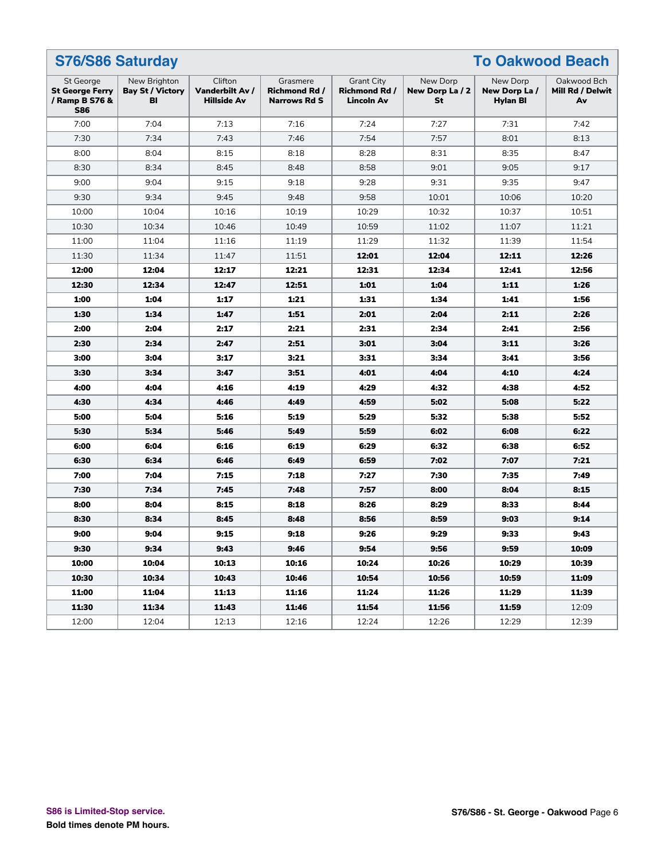|                                                                     | <b>S76/S86 Saturday</b><br><b>To Oakwood Beach</b> |                                                  |                                                         |                                                                |                                   |                                       |                                       |  |
|---------------------------------------------------------------------|----------------------------------------------------|--------------------------------------------------|---------------------------------------------------------|----------------------------------------------------------------|-----------------------------------|---------------------------------------|---------------------------------------|--|
| St George<br><b>St George Ferry</b><br>/ Ramp B S76 &<br><b>S86</b> | New Brighton<br><b>Bay St / Victory</b><br>BI      | Clifton<br>Vanderbilt Av /<br><b>Hillside Av</b> | Grasmere<br><b>Richmond Rd /</b><br><b>Narrows Rd S</b> | <b>Grant City</b><br><b>Richmond Rd /</b><br><b>Lincoln Av</b> | New Dorp<br>New Dorp La / 2<br>St | New Dorp<br>New Dorp La /<br>Hylan Bl | Oakwood Bch<br>Mill Rd / Delwit<br>Av |  |
| 7:00                                                                | 7:04                                               | 7:13                                             | 7:16                                                    | 7:24                                                           | 7:27                              | 7:31                                  | 7:42                                  |  |
| 7:30                                                                | 7:34                                               | 7:43                                             | 7:46                                                    | 7:54                                                           | 7:57                              | 8:01                                  | 8:13                                  |  |
| 8:00                                                                | 8:04                                               | 8:15                                             | 8:18                                                    | 8:28                                                           | 8:31                              | 8:35                                  | 8:47                                  |  |
| 8:30                                                                | 8:34                                               | 8:45                                             | 8:48                                                    | 8:58                                                           | 9:01                              | 9:05                                  | 9:17                                  |  |
| 9:00                                                                | 9:04                                               | 9:15                                             | 9:18                                                    | 9:28                                                           | 9:31                              | 9:35                                  | 9:47                                  |  |
| 9:30                                                                | 9:34                                               | 9:45                                             | 9:48                                                    | 9:58                                                           | 10:01                             | 10:06                                 | 10:20                                 |  |
| 10:00                                                               | 10:04                                              | 10:16                                            | 10:19                                                   | 10:29                                                          | 10:32                             | 10:37                                 | 10:51                                 |  |
| 10:30                                                               | 10:34                                              | 10:46                                            | 10:49                                                   | 10:59                                                          | 11:02                             | 11:07                                 | 11:21                                 |  |
| 11:00                                                               | 11:04                                              | 11:16                                            | 11:19                                                   | 11:29                                                          | 11:32                             | 11:39                                 | 11:54                                 |  |
| 11:30                                                               | 11:34                                              | 11:47                                            | 11:51                                                   | 12:01                                                          | 12:04                             | 12:11                                 | 12:26                                 |  |
| 12:00                                                               | 12:04                                              | 12:17                                            | 12:21                                                   | 12:31                                                          | 12:34                             | 12:41                                 | 12:56                                 |  |
| 12:30                                                               | 12:34                                              | 12:47                                            | 12:51                                                   | 1:01                                                           | 1:04                              | 1:11                                  | 1:26                                  |  |
| 1:00                                                                | 1:04                                               | 1:17                                             | 1:21                                                    | 1:31                                                           | 1:34                              | 1:41                                  | 1:56                                  |  |
| 1:30                                                                | 1:34                                               | 1:47                                             | 1:51                                                    | 2:01                                                           | 2:04                              | 2:11                                  | 2:26                                  |  |
| 2:00                                                                | 2:04                                               | 2:17                                             | 2:21                                                    | 2:31                                                           | 2:34                              | 2:41                                  | 2:56                                  |  |
| 2:30                                                                | 2:34                                               | 2:47                                             | 2:51                                                    | 3:01                                                           | 3:04                              | 3:11                                  | 3:26                                  |  |
| 3:00                                                                | 3:04                                               | 3:17                                             | 3:21                                                    | 3:31                                                           | 3:34                              | 3:41                                  | 3:56                                  |  |
| 3:30                                                                | 3:34                                               | 3:47                                             | 3:51                                                    | 4:01                                                           | 4:04                              | 4:10                                  | 4:24                                  |  |
| 4:00                                                                | 4:04                                               | 4:16                                             | 4:19                                                    | 4:29                                                           | 4:32                              | 4:38                                  | 4:52                                  |  |
| 4:30                                                                | 4:34                                               | 4:46                                             | 4:49                                                    | 4:59                                                           | 5:02                              | 5:08                                  | 5:22                                  |  |
| 5:00                                                                | 5:04                                               | 5:16                                             | 5:19                                                    | 5:29                                                           | 5:32                              | 5:38                                  | 5:52                                  |  |
| 5:30                                                                | 5:34                                               | 5:46                                             | 5:49                                                    | 5:59                                                           | 6:02                              | 6:08                                  | 6:22                                  |  |
| 6:00                                                                | 6:04                                               | 6:16                                             | 6:19                                                    | 6:29                                                           | 6:32                              | 6:38                                  | 6:52                                  |  |
| 6:30                                                                | 6:34                                               | 6:46                                             | 6:49                                                    | 6:59                                                           | 7:02                              | 7:07                                  | 7:21                                  |  |
| 7:00                                                                | 7:04                                               | 7:15                                             | 7:18                                                    | 7:27                                                           | 7:30                              | 7:35                                  | 7:49                                  |  |
| 7:30                                                                | 7:34                                               | 7:45                                             | 7:48                                                    | 7:57                                                           | 8:00                              | 8:04                                  | 8:15                                  |  |
| 8:00                                                                | 8:04                                               | 8:15                                             | 8:18                                                    | 8:26                                                           | 8:29                              | 8:33                                  | 8:44                                  |  |
| 8:30                                                                | 8:34                                               | 8:45                                             | 8:48                                                    | 8:56                                                           | 8:59                              | 9:03                                  | 9:14                                  |  |
| 9:00                                                                | 9:04                                               | 9:15                                             | 9:18                                                    | 9:26                                                           | 9:29                              | 9:33                                  | 9:43                                  |  |
| 9:30                                                                | 9:34                                               | 9:43                                             | 9:46                                                    | 9:54                                                           | 9:56                              | 9:59                                  | 10:09                                 |  |
| 10:00                                                               | 10:04                                              | 10:13                                            | 10:16                                                   | 10:24                                                          | 10:26                             | 10:29                                 | 10:39                                 |  |
| 10:30                                                               | 10:34                                              | 10:43                                            | 10:46                                                   | 10:54                                                          | 10:56                             | 10:59                                 | 11:09                                 |  |
| 11:00                                                               | 11:04                                              | 11:13                                            | 11:16                                                   | 11:24                                                          | 11:26                             | 11:29                                 | 11:39                                 |  |
| 11:30                                                               | 11:34                                              | 11:43                                            | 11:46                                                   | 11:54                                                          | 11:56                             | 11:59                                 | 12:09                                 |  |
| 12:00                                                               | 12:04                                              | 12:13                                            | 12:16                                                   | 12:24                                                          | 12:26                             | 12:29                                 | 12:39                                 |  |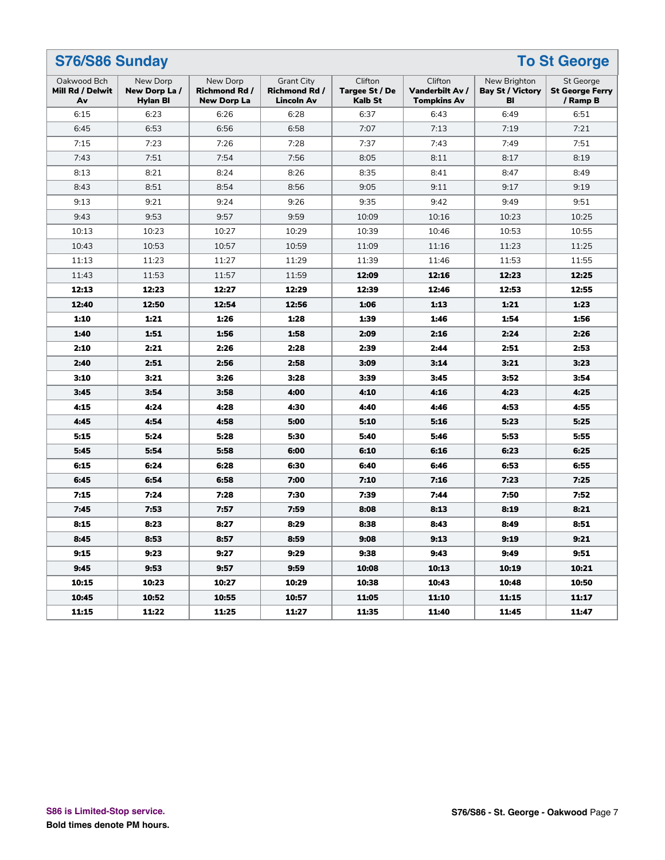| S76/S86 Sunday<br><b>To St George</b> |                                             |                                                 |                                                                |                                             |                                                  |                                               |                                                        |
|---------------------------------------|---------------------------------------------|-------------------------------------------------|----------------------------------------------------------------|---------------------------------------------|--------------------------------------------------|-----------------------------------------------|--------------------------------------------------------|
| Oakwood Bch<br>Mill Rd / Delwit<br>Av | New Dorp<br>New Dorp La/<br><b>Hylan BI</b> | New Dorp<br>Richmond Rd /<br><b>New Dorp La</b> | <b>Grant City</b><br><b>Richmond Rd /</b><br><b>Lincoln Av</b> | Clifton<br>Targee St / De<br><b>Kalb St</b> | Clifton<br>Vanderbilt Av /<br><b>Tompkins Av</b> | New Brighton<br><b>Bay St / Victory</b><br>BI | <b>St George</b><br><b>St George Ferry</b><br>/ Ramp B |
| 6:15                                  | 6:23                                        | 6:26                                            | 6:28                                                           | 6:37                                        | 6:43                                             | 6:49                                          | 6:51                                                   |
| 6:45                                  | 6:53                                        | 6:56                                            | 6:58                                                           | 7:07                                        | 7:13                                             | 7:19                                          | 7:21                                                   |
| 7:15                                  | 7:23                                        | 7:26                                            | 7:28                                                           | 7:37                                        | 7:43                                             | 7:49                                          | 7:51                                                   |
| 7:43                                  | 7:51                                        | 7:54                                            | 7:56                                                           | 8:05                                        | 8:11                                             | 8:17                                          | 8:19                                                   |
| 8:13                                  | 8:21                                        | 8:24                                            | 8:26                                                           | 8:35                                        | 8:41                                             | 8:47                                          | 8:49                                                   |
| 8:43                                  | 8:51                                        | 8:54                                            | 8:56                                                           | 9:05                                        | 9:11                                             | 9:17                                          | 9:19                                                   |
| 9:13                                  | 9:21                                        | 9:24                                            | 9:26                                                           | 9:35                                        | 9:42                                             | 9:49                                          | 9:51                                                   |
| 9:43                                  | 9:53                                        | 9:57                                            | 9:59                                                           | 10:09                                       | 10:16                                            | 10:23                                         | 10:25                                                  |
| 10:13                                 | 10:23                                       | 10:27                                           | 10:29                                                          | 10:39                                       | 10:46                                            | 10:53                                         | 10:55                                                  |
| 10:43                                 | 10:53                                       | 10:57                                           | 10:59                                                          | 11:09                                       | 11:16                                            | 11:23                                         | 11:25                                                  |
| 11:13                                 | 11:23                                       | 11:27                                           | 11:29                                                          | 11:39                                       | 11:46                                            | 11:53                                         | 11:55                                                  |
| 11:43                                 | 11:53                                       | 11:57                                           | 11:59                                                          | 12:09                                       | 12:16                                            | 12:23                                         | 12:25                                                  |
| 12:13                                 | 12:23                                       | 12:27                                           | 12:29                                                          | 12:39                                       | 12:46                                            | 12:53                                         | 12:55                                                  |
| 12:40                                 | 12:50                                       | 12:54                                           | 12:56                                                          | 1:06                                        | 1:13                                             | 1:21                                          | 1:23                                                   |
| 1:10                                  | 1:21                                        | 1:26                                            | 1:28                                                           | 1:39                                        | 1:46                                             | 1:54                                          | 1:56                                                   |
| 1:40                                  | 1:51                                        | 1:56                                            | 1:58                                                           | 2:09                                        | 2:16                                             | 2:24                                          | 2:26                                                   |
| 2:10                                  | 2:21                                        | 2:26                                            | 2:28                                                           | 2:39                                        | 2:44                                             | 2:51                                          | 2:53                                                   |
| 2:40                                  | 2:51                                        | 2:56                                            | 2:58                                                           | 3:09                                        | 3:14                                             | 3:21                                          | 3:23                                                   |
| 3:10                                  | 3:21                                        | 3:26                                            | 3:28                                                           | 3:39                                        | 3:45                                             | 3:52                                          | 3:54                                                   |
| 3:45                                  | 3:54                                        | 3:58                                            | 4:00                                                           | 4:10                                        | 4:16                                             | 4:23                                          | 4:25                                                   |
| 4:15                                  | 4:24                                        | 4:28                                            | 4:30                                                           | 4:40                                        | 4:46                                             | 4:53                                          | 4:55                                                   |
| 4:45                                  | 4:54                                        | 4:58                                            | 5:00                                                           | 5:10                                        | 5:16                                             | 5:23                                          | 5:25                                                   |
| 5:15                                  | 5:24                                        | 5:28                                            | 5:30                                                           | 5:40                                        | 5:46                                             | 5:53                                          | 5:55                                                   |
| 5:45                                  | 5:54                                        | 5:58                                            | 6:00                                                           | 6:10                                        | 6:16                                             | 6:23                                          | 6:25                                                   |
| 6:15                                  | 6:24                                        | 6:28                                            | 6:30                                                           | 6:40                                        | 6:46                                             | 6:53                                          | 6:55                                                   |
| 6:45                                  | 6:54                                        | 6:58                                            | 7:00                                                           | 7:10                                        | 7:16                                             | 7:23                                          | 7:25                                                   |
| 7:15                                  | 7:24                                        | 7:28                                            | 7:30                                                           | 7:39                                        | 7:44                                             | 7:50                                          | 7:52                                                   |
| 7:45                                  | 7:53                                        | 7:57                                            | 7:59                                                           | 8:08                                        | 8:13                                             | 8:19                                          | 8:21                                                   |
| 8:15                                  | 8:23                                        | 8:27                                            | 8:29                                                           | 8:38                                        | 8:43                                             | 8:49                                          | 8:51                                                   |
| 8:45                                  | 8:53                                        | 8:57                                            | 8:59                                                           | 9:08                                        | 9:13                                             | 9:19                                          | 9:21                                                   |
| 9:15                                  | 9:23                                        | 9:27                                            | 9:29                                                           | 9:38                                        | 9:43                                             | 9:49                                          | 9:51                                                   |
| 9:45                                  | 9:53                                        | 9:57                                            | 9:59                                                           | 10:08                                       | 10:13                                            | 10:19                                         | 10:21                                                  |
| 10:15                                 | 10:23                                       | 10:27                                           | 10:29                                                          | 10:38                                       | 10:43                                            | 10:48                                         | 10:50                                                  |
| 10:45                                 | 10:52                                       | 10:55                                           | 10:57                                                          | 11:05                                       | 11:10                                            | 11:15                                         | 11:17                                                  |
| 11:15                                 | 11:22                                       | 11:25                                           | 11:27                                                          | 11:35                                       | 11:40                                            | 11:45                                         | 11:47                                                  |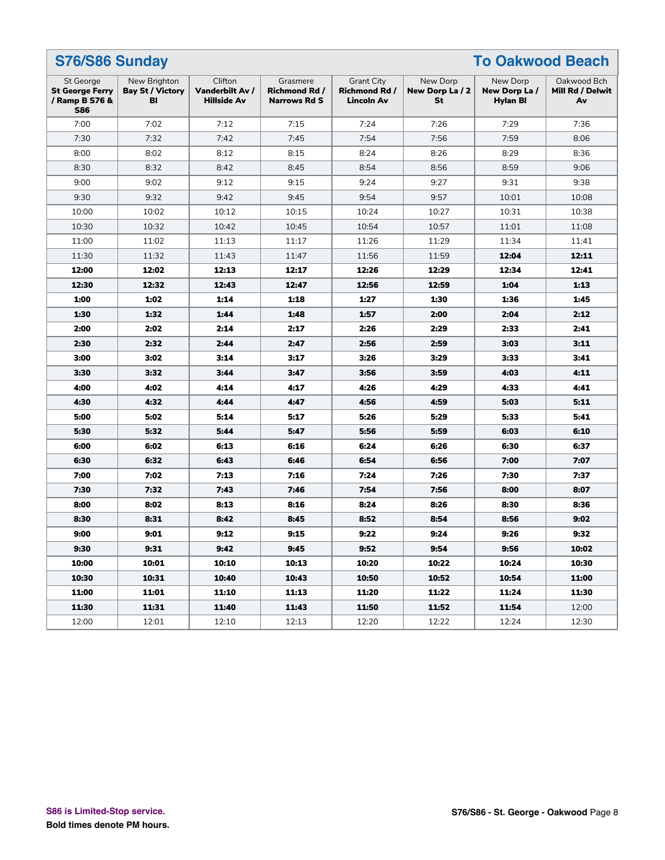| S76/S86 Sunday<br><b>To Oakwood Beach</b>                           |                                               |                                                  |                                                         |                                                                |                                   |                                       |                                       |
|---------------------------------------------------------------------|-----------------------------------------------|--------------------------------------------------|---------------------------------------------------------|----------------------------------------------------------------|-----------------------------------|---------------------------------------|---------------------------------------|
| St George<br><b>St George Ferry</b><br>/ Ramp B S76 &<br><b>S86</b> | New Brighton<br><b>Bay St / Victory</b><br>BI | Clifton<br>Vanderbilt Av /<br><b>Hillside Av</b> | Grasmere<br><b>Richmond Rd /</b><br><b>Narrows Rd S</b> | <b>Grant City</b><br><b>Richmond Rd /</b><br><b>Lincoln Av</b> | New Dorp<br>New Dorp La / 2<br>St | New Dorp<br>New Dorp La /<br>Hylan Bl | Oakwood Bch<br>Mill Rd / Delwit<br>Av |
| 7:00                                                                | 7:02                                          | 7:12                                             | 7:15                                                    | 7:24                                                           | 7:26                              | 7:29                                  | 7:36                                  |
| 7:30                                                                | 7:32                                          | 7:42                                             | 7:45                                                    | 7:54                                                           | 7:56                              | 7:59                                  | 8:06                                  |
| 8:00                                                                | 8:02                                          | 8:12                                             | 8:15                                                    | 8:24                                                           | 8:26                              | 8:29                                  | 8:36                                  |
| 8:30                                                                | 8:32                                          | 8:42                                             | 8:45                                                    | 8:54                                                           | 8:56                              | 8:59                                  | 9:06                                  |
| 9:00                                                                | 9:02                                          | 9:12                                             | 9:15                                                    | 9:24                                                           | 9:27                              | 9:31                                  | 9:38                                  |
| 9:30                                                                | 9:32                                          | 9:42                                             | 9:45                                                    | 9:54                                                           | 9:57                              | 10:01                                 | 10:08                                 |
| 10:00                                                               | 10:02                                         | 10:12                                            | 10:15                                                   | 10:24                                                          | 10:27                             | 10:31                                 | 10:38                                 |
| 10:30                                                               | 10:32                                         | 10:42                                            | 10:45                                                   | 10:54                                                          | 10:57                             | 11:01                                 | 11:08                                 |
| 11:00                                                               | 11:02                                         | 11:13                                            | 11:17                                                   | 11:26                                                          | 11:29                             | 11:34                                 | 11:41                                 |
| 11:30                                                               | 11:32                                         | 11:43                                            | 11:47                                                   | 11:56                                                          | 11:59                             | 12:04                                 | 12:11                                 |
| 12:00                                                               | 12:02                                         | 12:13                                            | 12:17                                                   | 12:26                                                          | 12:29                             | 12:34                                 | 12:41                                 |
| 12:30                                                               | 12:32                                         | 12:43                                            | 12:47                                                   | 12:56                                                          | 12:59                             | 1:04                                  | 1:13                                  |
| 1:00                                                                | 1:02                                          | 1:14                                             | 1:18                                                    | 1:27                                                           | 1:30                              | 1:36                                  | 1:45                                  |
| 1:30                                                                | 1:32                                          | 1:44                                             | 1:48                                                    | 1:57                                                           | 2:00                              | 2:04                                  | 2:12                                  |
| 2:00                                                                | 2:02                                          | 2:14                                             | 2:17                                                    | 2:26                                                           | 2:29                              | 2:33                                  | 2:41                                  |
| 2:30                                                                | 2:32                                          | 2:44                                             | 2:47                                                    | 2:56                                                           | 2:59                              | 3:03                                  | 3:11                                  |
| 3:00                                                                | 3:02                                          | 3:14                                             | 3:17                                                    | 3:26                                                           | 3:29                              | 3:33                                  | 3:41                                  |
| 3:30                                                                | 3:32                                          | 3:44                                             | 3:47                                                    | 3:56                                                           | 3:59                              | 4:03                                  | 4:11                                  |
| 4:00                                                                | 4:02                                          | 4:14                                             | 4:17                                                    | 4:26                                                           | 4:29                              | 4:33                                  | 4:41                                  |
| 4:30                                                                | 4:32                                          | 4:44                                             | 4:47                                                    | 4:56                                                           | 4:59                              | 5:03                                  | 5:11                                  |
| 5:00                                                                | 5:02                                          | 5:14                                             | 5:17                                                    | 5:26                                                           | 5:29                              | 5:33                                  | 5:41                                  |
| 5:30                                                                | 5:32                                          | 5:44                                             | 5:47                                                    | 5:56                                                           | 5:59                              | 6:03                                  | 6:10                                  |
| 6:00                                                                | 6:02                                          | 6:13                                             | 6:16                                                    | 6:24                                                           | 6:26                              | 6:30                                  | 6:37                                  |
| 6:30                                                                | 6:32                                          | 6:43                                             | 6:46                                                    | 6:54                                                           | 6:56                              | 7:00                                  | 7:07                                  |
| 7:00                                                                | 7:02                                          | 7:13                                             | 7:16                                                    | 7:24                                                           | 7:26                              | 7:30                                  | 7:37                                  |
| 7:30                                                                | 7:32                                          | 7:43                                             | 7:46                                                    | 7:54                                                           | 7:56                              | 8:00                                  | 8:07                                  |
| 8:00                                                                | 8:02                                          | 8:13                                             | 8:16                                                    | 8:24                                                           | 8:26                              | 8:30                                  | 8:36                                  |
| 8:30                                                                | 8:31                                          | 8:42                                             | 8:45                                                    | 8:52                                                           | 8:54                              | 8:56                                  | 9:02                                  |
| 9:00                                                                | 9:01                                          | 9:12                                             | 9:15                                                    | 9:22                                                           | 9:24                              | 9:26                                  | 9:32                                  |
| 9:30                                                                | 9:31                                          | 9:42                                             | 9:45                                                    | 9:52                                                           | 9:54                              | 9:56                                  | 10:02                                 |
| 10:00                                                               | 10:01                                         | 10:10                                            | 10:13                                                   | 10:20                                                          | 10:22                             | 10:24                                 | 10:30                                 |
| 10:30                                                               | 10:31                                         | 10:40                                            | 10:43                                                   | 10:50                                                          | 10:52                             | 10:54                                 | 11:00                                 |
| 11:00                                                               | 11:01                                         | 11:10                                            | 11:13                                                   | 11:20                                                          | 11:22                             | 11:24                                 | 11:30                                 |
| 11:30                                                               | 11:31                                         | 11:40                                            | 11:43                                                   | 11:50                                                          | 11:52                             | 11:54                                 | 12:00                                 |
| 12:00                                                               | 12:01                                         | 12:10                                            | 12:13                                                   | 12:20                                                          | 12:22                             | 12:24                                 | 12:30                                 |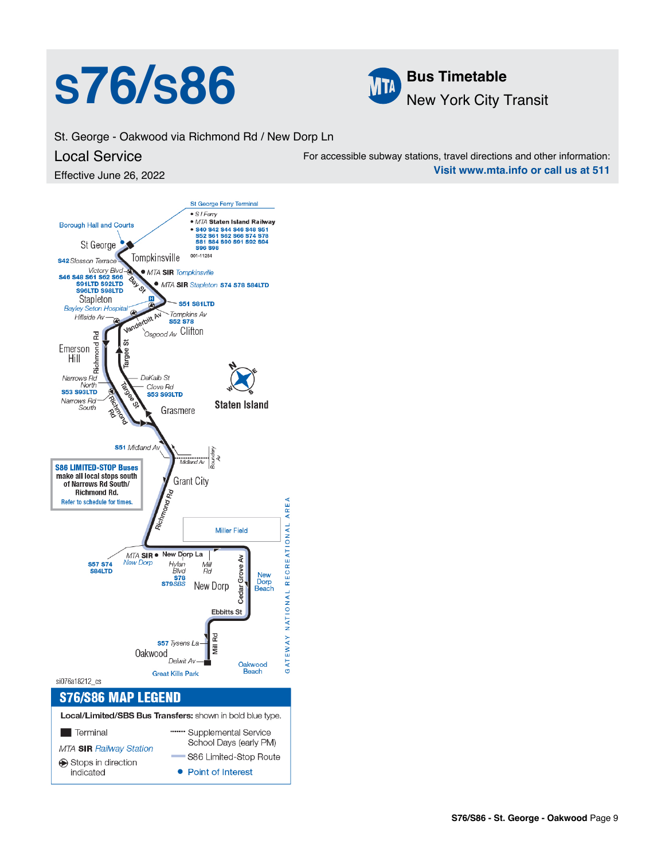# **S76/S86 MBus Timetable**



St. George - Oakwood via Richmond Rd / New Dorp Ln

#### Local Service

Effective June 26, 2022

For accessible subway stations, travel directions and other information: **Visit www.mta.info or call us at 511**

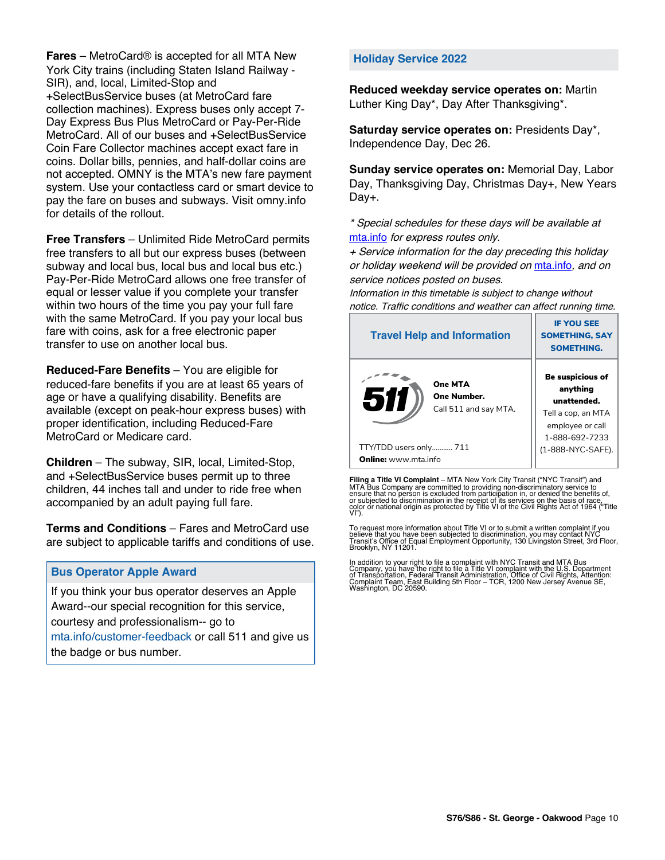**Fares** – MetroCard® is accepted for all MTA New York City trains (including Staten Island Railway - SIR), and, local, Limited-Stop and +SelectBusService buses (at MetroCard fare collection machines). Express buses only accept 7- Day Express Bus Plus MetroCard or Pay-Per-Ride MetroCard. All of our buses and +SelectBusService Coin Fare Collector machines accept exact fare in coins. Dollar bills, pennies, and half-dollar coins are not accepted. OMNY is the MTA's new fare payment system. Use your contactless card or smart device to pay the fare on buses and subways. Visit omny.info for details of the rollout.

**Free Transfers** – Unlimited Ride MetroCard permits free transfers to all but our express buses (between subway and local bus, local bus and local bus etc.) Pay-Per-Ride MetroCard allows one free transfer of equal or lesser value if you complete your transfer within two hours of the time you pay your full fare with the same MetroCard. If you pay your local bus fare with coins, ask for a free electronic paper transfer to use on another local bus.

**Reduced-Fare Benefits** – You are eligible for reduced-fare benefits if you are at least 65 years of age or have a qualifying disability. Benefits are available (except on peak-hour express buses) with proper identification, including Reduced-Fare MetroCard or Medicare card.

**Children** – The subway, SIR, local, Limited-Stop, and +SelectBusService buses permit up to three children, 44 inches tall and under to ride free when accompanied by an adult paying full fare.

**Terms and Conditions** – Fares and MetroCard use are subject to applicable tariffs and conditions of use.

#### **Bus Operator Apple Award**

If you think your bus operator deserves an Apple Award--our special recognition for this service, courtesy and professionalism-- go to mta.info/customer-feedback or call 511 and give us the badge or bus number.

#### **Holiday Service 2022**

**Reduced weekday service operates on:** Martin Luther King Day\*, Day After Thanksgiving\*.

**Saturday service operates on:** Presidents Day\*, Independence Day, Dec 26.

**Sunday service operates on:** Memorial Day, Labor Day, Thanksgiving Day, Christmas Day+, New Years Day+.

\* Special schedules for these days will be available at [mta.info](https://new.mta.info/) for express routes only.

+ Service information for the day preceding this holiday or holiday weekend will be provided on [mta.info](https://new.mta.info/), and on service notices posted on buses.

Information in this timetable is subject to change without notice. Traffic conditions and weather can affect running time.

| <b>Travel Help and Information</b>                     | <b>IF YOU SEE</b><br><b>SOMETHING, SAY</b><br><b>SOMETHING.</b>                                                |
|--------------------------------------------------------|----------------------------------------------------------------------------------------------------------------|
| One MTA<br>511<br>One Number.<br>Call 511 and say MTA. | <b>Be suspicious of</b><br>anything<br>unattended.<br>Tell a cop, an MTA<br>employee or call<br>1-888-692-7233 |
| TTY/TDD users only 711                                 | (1-888-NYC-SAFE).                                                                                              |
| <b>Online:</b> www.mta.info                            |                                                                                                                |

**Filing a Title VI Complaint** – MTA New York City Transit ("NYC Transit") and<br>MTA Bus Company are committed to providing non-discriminatory service to<br>ensure that no person is excluded from participation in, or denied the

To request more information about Title VI or to submit a written complaint if you believe that you have been subjected to discrimination, you may contact NYC<br>Transit's Office of Equal Employment Opportunity, 130 Livingston Street, 3rd Floor,<br>Brooklyn, NY 11201.

In addition to your right to file a complaint with NYC Transit and MTA Bus<br>Company, you have the right to file a Title VI complaint with the U.S. Department<br>of Transportation, Federal Transit Administration, Office of Civi